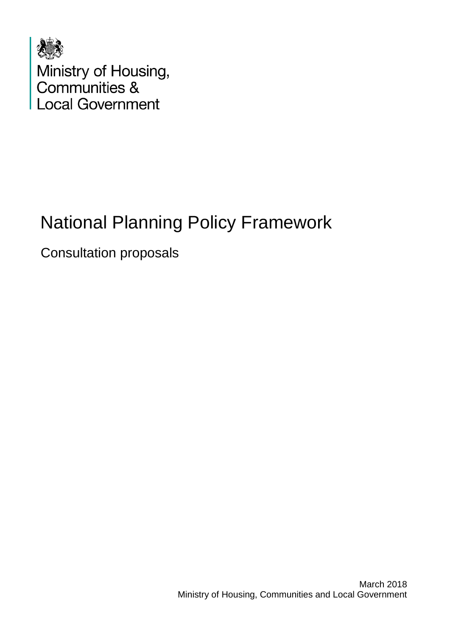

Ministry of Housing,<br>Communities &<br>Local Government

# National Planning Policy Framework

Consultation proposals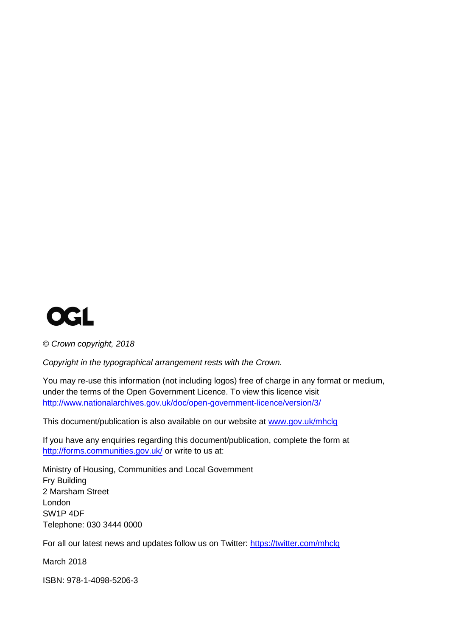

*© Crown copyright, 2018*

*Copyright in the typographical arrangement rests with the Crown.*

You may re-use this information (not including logos) free of charge in any format or medium, under the terms of the Open Government Licence. To view this licence visit <http://www.nationalarchives.gov.uk/doc/open-government-licence/version/3/>

This document/publication is also available on our website at [www.gov.uk/mhclg](http://www.gov.uk/mhclg)

If you have any enquiries regarding this document/publication, complete the form at <http://forms.communities.gov.uk/> or write to us at:

Ministry of Housing, Communities and Local Government Fry Building 2 Marsham Street London SW1P 4DF Telephone: 030 3444 0000

For all our latest news and updates follow us on Twitter:<https://twitter.com/mhclg>

March 2018

ISBN: 978-1-4098-5206-3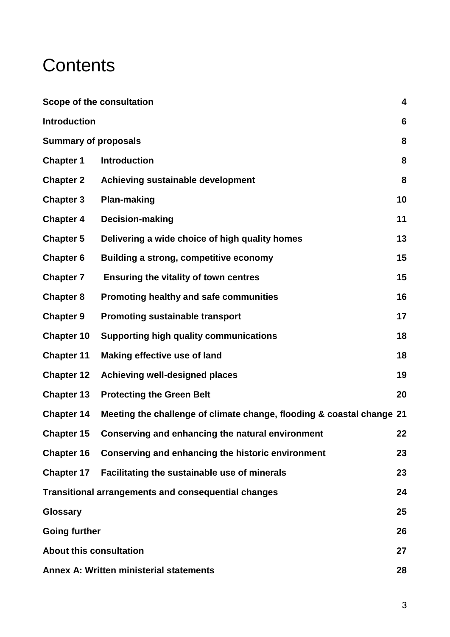# **Contents**

|                                                                  | Scope of the consultation                                             |    |  |
|------------------------------------------------------------------|-----------------------------------------------------------------------|----|--|
| <b>Introduction</b>                                              |                                                                       |    |  |
|                                                                  | 8<br><b>Summary of proposals</b>                                      |    |  |
| <b>Chapter 1</b>                                                 | <b>Introduction</b>                                                   | 8  |  |
| <b>Chapter 2</b>                                                 | Achieving sustainable development                                     | 8  |  |
| <b>Chapter 3</b>                                                 | <b>Plan-making</b>                                                    | 10 |  |
| <b>Chapter 4</b>                                                 | Decision-making                                                       | 11 |  |
| <b>Chapter 5</b>                                                 | Delivering a wide choice of high quality homes                        | 13 |  |
| <b>Chapter 6</b>                                                 | Building a strong, competitive economy                                | 15 |  |
| <b>Chapter 7</b>                                                 | <b>Ensuring the vitality of town centres</b>                          | 15 |  |
| <b>Chapter 8</b>                                                 | <b>Promoting healthy and safe communities</b>                         | 16 |  |
| <b>Chapter 9</b>                                                 | <b>Promoting sustainable transport</b>                                | 17 |  |
| <b>Chapter 10</b>                                                | <b>Supporting high quality communications</b>                         | 18 |  |
| <b>Chapter 11</b>                                                | <b>Making effective use of land</b>                                   | 18 |  |
| <b>Chapter 12</b>                                                | Achieving well-designed places                                        | 19 |  |
| <b>Chapter 13</b>                                                | <b>Protecting the Green Belt</b>                                      | 20 |  |
| <b>Chapter 14</b>                                                | Meeting the challenge of climate change, flooding & coastal change 21 |    |  |
|                                                                  | Chapter 15 Conserving and enhancing the natural environment           | 22 |  |
| <b>Chapter 16</b>                                                | Conserving and enhancing the historic environment                     | 23 |  |
| <b>Chapter 17</b>                                                | Facilitating the sustainable use of minerals                          | 23 |  |
| <b>Transitional arrangements and consequential changes</b><br>24 |                                                                       |    |  |
| <b>Glossary</b>                                                  | 25                                                                    |    |  |
| <b>Going further</b><br>26                                       |                                                                       |    |  |
| <b>About this consultation</b><br>27                             |                                                                       |    |  |
| Annex A: Written ministerial statements<br>28                    |                                                                       |    |  |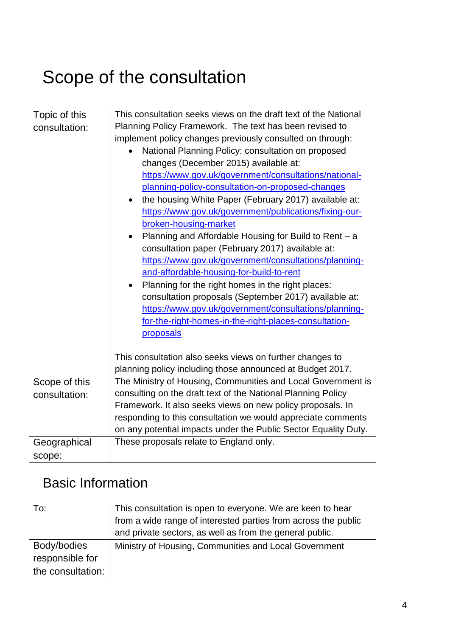# <span id="page-3-0"></span>Scope of the consultation

| Topic of this<br>consultation:                 | This consultation seeks views on the draft text of the National<br>Planning Policy Framework. The text has been revised to<br>implement policy changes previously consulted on through:<br>National Planning Policy: consultation on proposed<br>changes (December 2015) available at:<br>https://www.gov.uk/government/consultations/national-<br>planning-policy-consultation-on-proposed-changes<br>the housing White Paper (February 2017) available at:<br>$\bullet$<br>https://www.gov.uk/government/publications/fixing-our-<br>broken-housing-market<br>Planning and Affordable Housing for Build to Rent – a<br>$\bullet$<br>consultation paper (February 2017) available at:<br>https://www.gov.uk/government/consultations/planning-<br>and-affordable-housing-for-build-to-rent<br>Planning for the right homes in the right places:<br>$\bullet$<br>consultation proposals (September 2017) available at:<br>https://www.gov.uk/government/consultations/planning-<br>for-the-right-homes-in-the-right-places-consultation-<br>proposals |
|------------------------------------------------|-------------------------------------------------------------------------------------------------------------------------------------------------------------------------------------------------------------------------------------------------------------------------------------------------------------------------------------------------------------------------------------------------------------------------------------------------------------------------------------------------------------------------------------------------------------------------------------------------------------------------------------------------------------------------------------------------------------------------------------------------------------------------------------------------------------------------------------------------------------------------------------------------------------------------------------------------------------------------------------------------------------------------------------------------------|
| Scope of this<br>consultation:<br>Geographical | This consultation also seeks views on further changes to<br>planning policy including those announced at Budget 2017.<br>The Ministry of Housing, Communities and Local Government is<br>consulting on the draft text of the National Planning Policy<br>Framework. It also seeks views on new policy proposals. In<br>responding to this consultation we would appreciate comments<br>on any potential impacts under the Public Sector Equality Duty.<br>These proposals relate to England only.                                                                                                                                                                                                                                                                                                                                                                                                                                                                                                                                                     |
| scope:                                         |                                                                                                                                                                                                                                                                                                                                                                                                                                                                                                                                                                                                                                                                                                                                                                                                                                                                                                                                                                                                                                                       |

# Basic Information

| To:               | This consultation is open to everyone. We are keen to hear     |  |  |
|-------------------|----------------------------------------------------------------|--|--|
|                   | from a wide range of interested parties from across the public |  |  |
|                   | and private sectors, as well as from the general public.       |  |  |
| Body/bodies       | Ministry of Housing, Communities and Local Government          |  |  |
| responsible for   |                                                                |  |  |
| the consultation: |                                                                |  |  |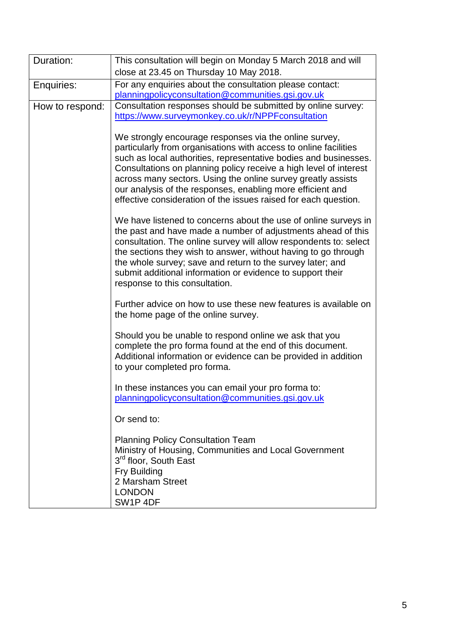| Duration:       | This consultation will begin on Monday 5 March 2018 and will                                                                                                                                                                                                                                                                                                                                                                         |  |
|-----------------|--------------------------------------------------------------------------------------------------------------------------------------------------------------------------------------------------------------------------------------------------------------------------------------------------------------------------------------------------------------------------------------------------------------------------------------|--|
|                 | close at 23.45 on Thursday 10 May 2018.                                                                                                                                                                                                                                                                                                                                                                                              |  |
| Enquiries:      | For any enquiries about the consultation please contact:                                                                                                                                                                                                                                                                                                                                                                             |  |
| How to respond: | planningpolicyconsultation@communities.gsi.gov.uk<br>Consultation responses should be submitted by online survey:                                                                                                                                                                                                                                                                                                                    |  |
|                 | https://www.surveymonkey.co.uk/r/NPPFconsultation                                                                                                                                                                                                                                                                                                                                                                                    |  |
|                 | We strongly encourage responses via the online survey,<br>particularly from organisations with access to online facilities<br>such as local authorities, representative bodies and businesses.<br>Consultations on planning policy receive a high level of interest<br>across many sectors. Using the online survey greatly assists                                                                                                  |  |
|                 | our analysis of the responses, enabling more efficient and<br>effective consideration of the issues raised for each question.                                                                                                                                                                                                                                                                                                        |  |
|                 | We have listened to concerns about the use of online surveys in<br>the past and have made a number of adjustments ahead of this<br>consultation. The online survey will allow respondents to: select<br>the sections they wish to answer, without having to go through<br>the whole survey; save and return to the survey later; and<br>submit additional information or evidence to support their<br>response to this consultation. |  |
|                 | Further advice on how to use these new features is available on<br>the home page of the online survey.                                                                                                                                                                                                                                                                                                                               |  |
|                 | Should you be unable to respond online we ask that you<br>complete the pro forma found at the end of this document.<br>Additional information or evidence can be provided in addition<br>to your completed pro forma.                                                                                                                                                                                                                |  |
|                 | In these instances you can email your pro forma to:<br>planningpolicyconsultation@communities.gsi.gov.uk                                                                                                                                                                                                                                                                                                                             |  |
|                 | Or send to:                                                                                                                                                                                                                                                                                                                                                                                                                          |  |
|                 | <b>Planning Policy Consultation Team</b><br>Ministry of Housing, Communities and Local Government<br>3rd floor, South East<br>Fry Building<br>2 Marsham Street<br><b>LONDON</b><br>SW1P4DF                                                                                                                                                                                                                                           |  |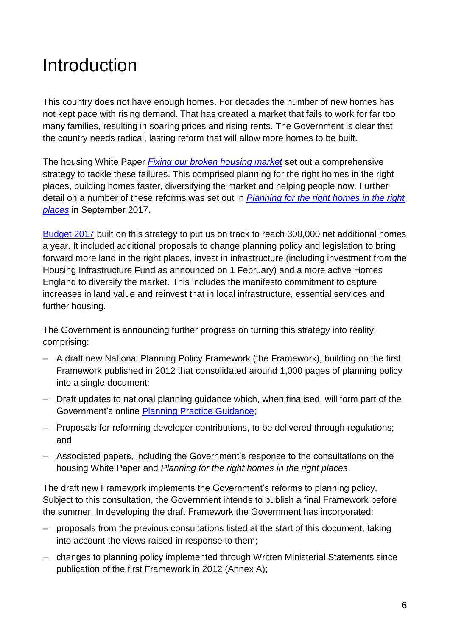# <span id="page-5-0"></span>Introduction

This country does not have enough homes. For decades the number of new homes has not kept pace with rising demand. That has created a market that fails to work for far too many families, resulting in soaring prices and rising rents. The Government is clear that the country needs radical, lasting reform that will allow more homes to be built.

The housing White Paper *[Fixing our broken housing market](https://www.gov.uk/government/uploads/system/uploads/attachment_data/file/590464/Fixing_our_broken_housing_market_-_print_ready_version.pdf)* set out a comprehensive strategy to tackle these failures. This comprised planning for the right homes in the right places, building homes faster, diversifying the market and helping people now. Further detail on a number of these reforms was set out in *[Planning for the right homes in the right](https://www.gov.uk/government/uploads/system/uploads/attachment_data/file/652888/Planning_for_Homes_Consultation_Document.pdf)  [places](https://www.gov.uk/government/uploads/system/uploads/attachment_data/file/652888/Planning_for_Homes_Consultation_Document.pdf)* in September 2017.

[Budget 2017](https://www.gov.uk/government/publications/autumn-budget-2017-documents/autumn-budget-2017) built on this strategy to put us on track to reach 300,000 net additional homes a year. It included additional proposals to change planning policy and legislation to bring forward more land in the right places, invest in infrastructure (including investment from the Housing Infrastructure Fund as announced on 1 February) and a more active Homes England to diversify the market. This includes the manifesto commitment to capture increases in land value and reinvest that in local infrastructure, essential services and further housing.

The Government is announcing further progress on turning this strategy into reality, comprising:

- ‒ A draft new National Planning Policy Framework (the Framework), building on the first Framework published in 2012 that consolidated around 1,000 pages of planning policy into a single document;
- ‒ Draft updates to national planning guidance which, when finalised, will form part of the Government's online [Planning Practice Guidance;](https://www.gov.uk/government/collections/planning-practice-guidance)
- ‒ Proposals for reforming developer contributions, to be delivered through regulations; and
- ‒ Associated papers, including the Government's response to the consultations on the housing White Paper and *Planning for the right homes in the right places*.

The draft new Framework implements the Government's reforms to planning policy. Subject to this consultation, the Government intends to publish a final Framework before the summer. In developing the draft Framework the Government has incorporated:

- ‒ proposals from the previous consultations listed at the start of this document, taking into account the views raised in response to them;
- changes to planning policy implemented through Written Ministerial Statements since publication of the first Framework in 2012 (Annex A);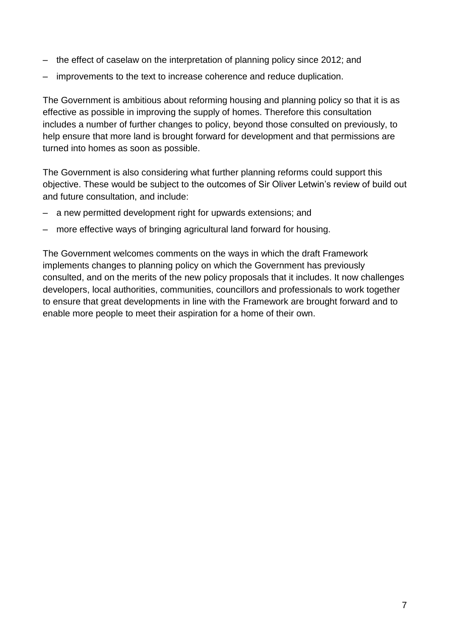- ‒ the effect of caselaw on the interpretation of planning policy since 2012; and
- ‒ improvements to the text to increase coherence and reduce duplication.

The Government is ambitious about reforming housing and planning policy so that it is as effective as possible in improving the supply of homes. Therefore this consultation includes a number of further changes to policy, beyond those consulted on previously, to help ensure that more land is brought forward for development and that permissions are turned into homes as soon as possible.

The Government is also considering what further planning reforms could support this objective. These would be subject to the outcomes of Sir Oliver Letwin's review of build out and future consultation, and include:

- ‒ a new permitted development right for upwards extensions; and
- more effective ways of bringing agricultural land forward for housing.

The Government welcomes comments on the ways in which the draft Framework implements changes to planning policy on which the Government has previously consulted, and on the merits of the new policy proposals that it includes. It now challenges developers, local authorities, communities, councillors and professionals to work together to ensure that great developments in line with the Framework are brought forward and to enable more people to meet their aspiration for a home of their own.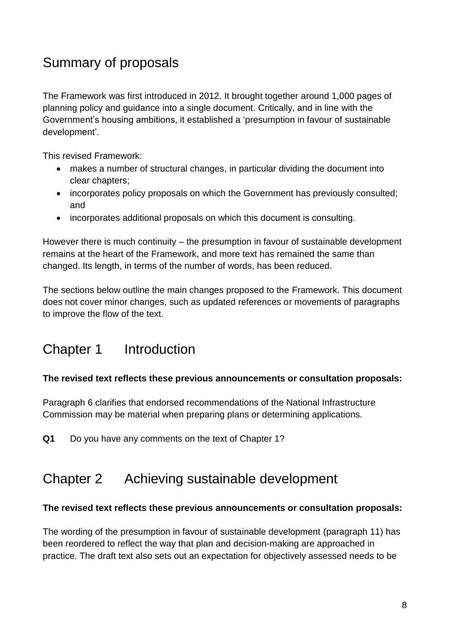# <span id="page-7-0"></span>Summary of proposals

The Framework was first introduced in 2012. It brought together around 1,000 pages of planning policy and guidance into a single document. Critically, and in line with the Government's housing ambitions, it established a 'presumption in favour of sustainable development'.

This revised Framework:

- makes a number of structural changes, in particular dividing the document into clear chapters;
- incorporates policy proposals on which the Government has previously consulted; and
- incorporates additional proposals on which this document is consulting.

However there is much continuity – the presumption in favour of sustainable development remains at the heart of the Framework, and more text has remained the same than changed. Its length, in terms of the number of words, has been reduced.

The sections below outline the main changes proposed to the Framework. This document does not cover minor changes, such as updated references or movements of paragraphs to improve the flow of the text.

# <span id="page-7-1"></span>Chapter 1 Introduction

### **The revised text reflects these previous announcements or consultation proposals:**

Paragraph 6 clarifies that endorsed recommendations of the National Infrastructure Commission may be material when preparing plans or determining applications.

**Q1** Do you have any comments on the text of Chapter 1?

## <span id="page-7-2"></span>Chapter 2 Achieving sustainable development

### **The revised text reflects these previous announcements or consultation proposals:**

The wording of the presumption in favour of sustainable development (paragraph 11) has been reordered to reflect the way that plan and decision-making are approached in practice. The draft text also sets out an expectation for objectively assessed needs to be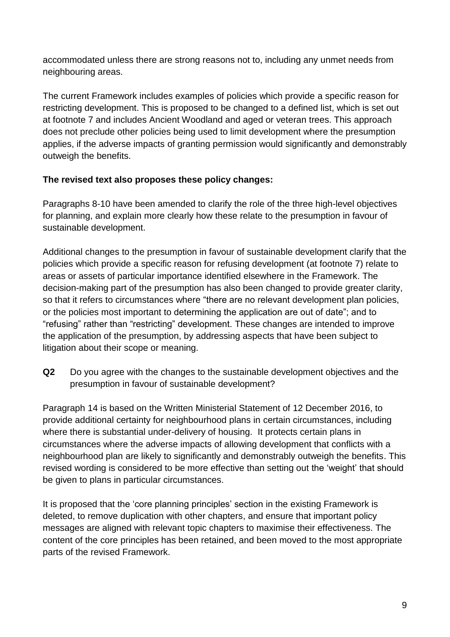accommodated unless there are strong reasons not to, including any unmet needs from neighbouring areas.

The current Framework includes examples of policies which provide a specific reason for restricting development. This is proposed to be changed to a defined list, which is set out at footnote 7 and includes Ancient Woodland and aged or veteran trees. This approach does not preclude other policies being used to limit development where the presumption applies, if the adverse impacts of granting permission would significantly and demonstrably outweigh the benefits.

### **The revised text also proposes these policy changes:**

Paragraphs 8-10 have been amended to clarify the role of the three high-level objectives for planning, and explain more clearly how these relate to the presumption in favour of sustainable development.

Additional changes to the presumption in favour of sustainable development clarify that the policies which provide a specific reason for refusing development (at footnote 7) relate to areas or assets of particular importance identified elsewhere in the Framework. The decision-making part of the presumption has also been changed to provide greater clarity, so that it refers to circumstances where "there are no relevant development plan policies, or the policies most important to determining the application are out of date"; and to "refusing" rather than "restricting" development. These changes are intended to improve the application of the presumption, by addressing aspects that have been subject to litigation about their scope or meaning.

**Q2** Do you agree with the changes to the sustainable development objectives and the presumption in favour of sustainable development?

Paragraph 14 is based on the Written Ministerial Statement of 12 December 2016, to provide additional certainty for neighbourhood plans in certain circumstances, including where there is substantial under-delivery of housing. It protects certain plans in circumstances where the adverse impacts of allowing development that conflicts with a neighbourhood plan are likely to significantly and demonstrably outweigh the benefits. This revised wording is considered to be more effective than setting out the 'weight' that should be given to plans in particular circumstances.

It is proposed that the 'core planning principles' section in the existing Framework is deleted, to remove duplication with other chapters, and ensure that important policy messages are aligned with relevant topic chapters to maximise their effectiveness. The content of the core principles has been retained, and been moved to the most appropriate parts of the revised Framework.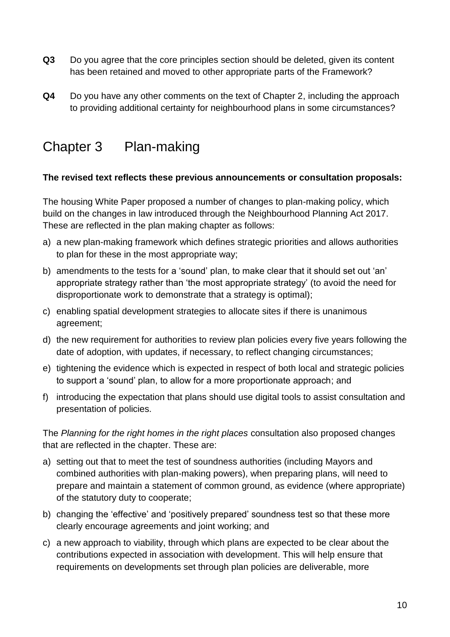- **Q3** Do you agree that the core principles section should be deleted, given its content has been retained and moved to other appropriate parts of the Framework?
- **Q4** Do you have any other comments on the text of Chapter 2, including the approach to providing additional certainty for neighbourhood plans in some circumstances?

# <span id="page-9-0"></span>Chapter 3 Plan-making

#### **The revised text reflects these previous announcements or consultation proposals:**

The housing White Paper proposed a number of changes to plan-making policy, which build on the changes in law introduced through the Neighbourhood Planning Act 2017. These are reflected in the plan making chapter as follows:

- a) a new plan-making framework which defines strategic priorities and allows authorities to plan for these in the most appropriate way;
- b) amendments to the tests for a 'sound' plan, to make clear that it should set out 'an' appropriate strategy rather than 'the most appropriate strategy' (to avoid the need for disproportionate work to demonstrate that a strategy is optimal);
- c) enabling spatial development strategies to allocate sites if there is unanimous agreement;
- d) the new requirement for authorities to review plan policies every five years following the date of adoption, with updates, if necessary, to reflect changing circumstances;
- e) tightening the evidence which is expected in respect of both local and strategic policies to support a 'sound' plan, to allow for a more proportionate approach; and
- f) introducing the expectation that plans should use digital tools to assist consultation and presentation of policies.

The *Planning for the right homes in the right places* consultation also proposed changes that are reflected in the chapter. These are:

- a) setting out that to meet the test of soundness authorities (including Mayors and combined authorities with plan-making powers), when preparing plans, will need to prepare and maintain a statement of common ground, as evidence (where appropriate) of the statutory duty to cooperate;
- b) changing the 'effective' and 'positively prepared' soundness test so that these more clearly encourage agreements and joint working; and
- c) a new approach to viability, through which plans are expected to be clear about the contributions expected in association with development. This will help ensure that requirements on developments set through plan policies are deliverable, more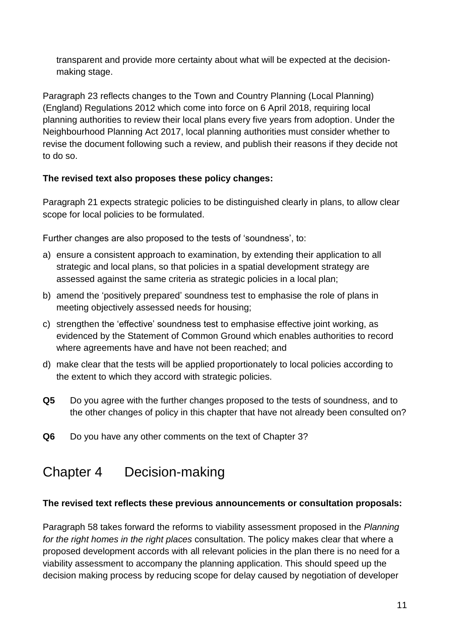transparent and provide more certainty about what will be expected at the decisionmaking stage.

Paragraph 23 reflects changes to the Town and Country Planning (Local Planning) (England) Regulations 2012 which come into force on 6 April 2018, requiring local planning authorities to review their local plans every five years from adoption. Under the Neighbourhood Planning Act 2017, local planning authorities must consider whether to revise the document following such a review, and publish their reasons if they decide not to do so.

### **The revised text also proposes these policy changes:**

Paragraph 21 expects strategic policies to be distinguished clearly in plans, to allow clear scope for local policies to be formulated.

Further changes are also proposed to the tests of 'soundness', to:

- a) ensure a consistent approach to examination, by extending their application to all strategic and local plans, so that policies in a spatial development strategy are assessed against the same criteria as strategic policies in a local plan;
- b) amend the 'positively prepared' soundness test to emphasise the role of plans in meeting objectively assessed needs for housing;
- c) strengthen the 'effective' soundness test to emphasise effective joint working, as evidenced by the Statement of Common Ground which enables authorities to record where agreements have and have not been reached; and
- d) make clear that the tests will be applied proportionately to local policies according to the extent to which they accord with strategic policies.
- **Q5** Do you agree with the further changes proposed to the tests of soundness, and to the other changes of policy in this chapter that have not already been consulted on?
- **Q6** Do you have any other comments on the text of Chapter 3?

# <span id="page-10-0"></span>Chapter 4 Decision-making

### **The revised text reflects these previous announcements or consultation proposals:**

Paragraph 58 takes forward the reforms to viability assessment proposed in the *Planning for the right homes in the right places* consultation. The policy makes clear that where a proposed development accords with all relevant policies in the plan there is no need for a viability assessment to accompany the planning application. This should speed up the decision making process by reducing scope for delay caused by negotiation of developer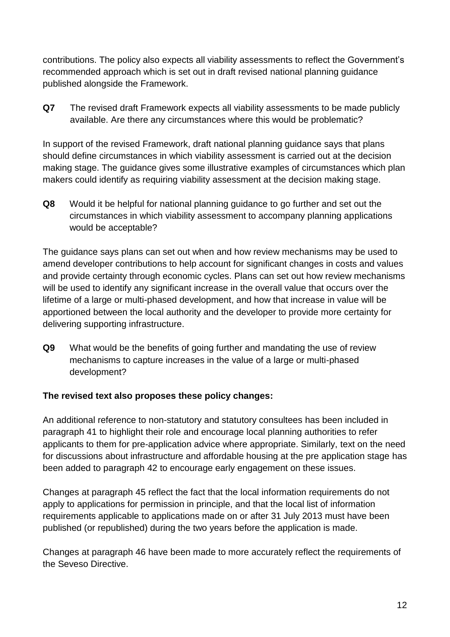contributions. The policy also expects all viability assessments to reflect the Government's recommended approach which is set out in draft revised national planning guidance published alongside the Framework.

**Q7** The revised draft Framework expects all viability assessments to be made publicly available. Are there any circumstances where this would be problematic?

In support of the revised Framework, draft national planning guidance says that plans should define circumstances in which viability assessment is carried out at the decision making stage. The guidance gives some illustrative examples of circumstances which plan makers could identify as requiring viability assessment at the decision making stage.

**Q8** Would it be helpful for national planning guidance to go further and set out the circumstances in which viability assessment to accompany planning applications would be acceptable?

The guidance says plans can set out when and how review mechanisms may be used to amend developer contributions to help account for significant changes in costs and values and provide certainty through economic cycles. Plans can set out how review mechanisms will be used to identify any significant increase in the overall value that occurs over the lifetime of a large or multi-phased development, and how that increase in value will be apportioned between the local authority and the developer to provide more certainty for delivering supporting infrastructure.

**Q9** What would be the benefits of going further and mandating the use of review mechanisms to capture increases in the value of a large or multi-phased development?

### **The revised text also proposes these policy changes:**

An additional reference to non-statutory and statutory consultees has been included in paragraph 41 to highlight their role and encourage local planning authorities to refer applicants to them for pre-application advice where appropriate. Similarly, text on the need for discussions about infrastructure and affordable housing at the pre application stage has been added to paragraph 42 to encourage early engagement on these issues.

Changes at paragraph 45 reflect the fact that the local information requirements do not apply to applications for permission in principle, and that the local list of information requirements applicable to applications made on or after 31 July 2013 must have been published (or republished) during the two years before the application is made.

Changes at paragraph 46 have been made to more accurately reflect the requirements of the Seveso Directive.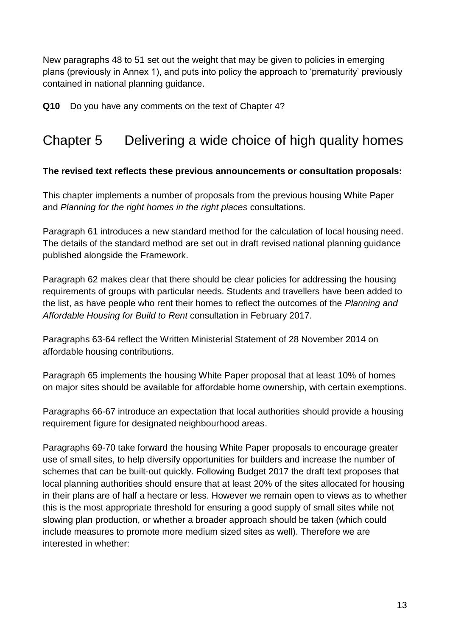New paragraphs 48 to 51 set out the weight that may be given to policies in emerging plans (previously in Annex 1), and puts into policy the approach to 'prematurity' previously contained in national planning guidance.

**Q10** Do you have any comments on the text of Chapter 4?

# <span id="page-12-0"></span>Chapter 5 Delivering a wide choice of high quality homes

### **The revised text reflects these previous announcements or consultation proposals:**

This chapter implements a number of proposals from the previous housing White Paper and *Planning for the right homes in the right places* consultations.

Paragraph 61 introduces a new standard method for the calculation of local housing need. The details of the standard method are set out in draft revised national planning guidance published alongside the Framework.

Paragraph 62 makes clear that there should be clear policies for addressing the housing requirements of groups with particular needs. Students and travellers have been added to the list, as have people who rent their homes to reflect the outcomes of the *Planning and Affordable Housing for Build to Rent* consultation in February 2017.

Paragraphs 63-64 reflect the Written Ministerial Statement of 28 November 2014 on affordable housing contributions.

Paragraph 65 implements the housing White Paper proposal that at least 10% of homes on major sites should be available for affordable home ownership, with certain exemptions.

Paragraphs 66-67 introduce an expectation that local authorities should provide a housing requirement figure for designated neighbourhood areas.

Paragraphs 69-70 take forward the housing White Paper proposals to encourage greater use of small sites, to help diversify opportunities for builders and increase the number of schemes that can be built-out quickly. Following Budget 2017 the draft text proposes that local planning authorities should ensure that at least 20% of the sites allocated for housing in their plans are of half a hectare or less. However we remain open to views as to whether this is the most appropriate threshold for ensuring a good supply of small sites while not slowing plan production, or whether a broader approach should be taken (which could include measures to promote more medium sized sites as well). Therefore we are interested in whether: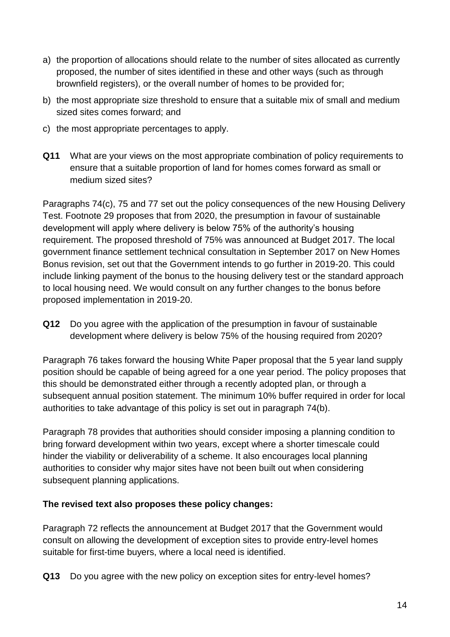- a) the proportion of allocations should relate to the number of sites allocated as currently proposed, the number of sites identified in these and other ways (such as through brownfield registers), or the overall number of homes to be provided for;
- b) the most appropriate size threshold to ensure that a suitable mix of small and medium sized sites comes forward; and
- c) the most appropriate percentages to apply.
- **Q11** What are your views on the most appropriate combination of policy requirements to ensure that a suitable proportion of land for homes comes forward as small or medium sized sites?

Paragraphs 74(c), 75 and 77 set out the policy consequences of the new Housing Delivery Test. Footnote 29 proposes that from 2020, the presumption in favour of sustainable development will apply where delivery is below 75% of the authority's housing requirement. The proposed threshold of 75% was announced at Budget 2017. The local government finance settlement technical consultation in September 2017 on New Homes Bonus revision, set out that the Government intends to go further in 2019-20. This could include linking payment of the bonus to the housing delivery test or the standard approach to local housing need. We would consult on any further changes to the bonus before proposed implementation in 2019-20.

**Q12** Do you agree with the application of the presumption in favour of sustainable development where delivery is below 75% of the housing required from 2020?

Paragraph 76 takes forward the housing White Paper proposal that the 5 year land supply position should be capable of being agreed for a one year period. The policy proposes that this should be demonstrated either through a recently adopted plan, or through a subsequent annual position statement. The minimum 10% buffer required in order for local authorities to take advantage of this policy is set out in paragraph 74(b).

Paragraph 78 provides that authorities should consider imposing a planning condition to bring forward development within two years, except where a shorter timescale could hinder the viability or deliverability of a scheme. It also encourages local planning authorities to consider why major sites have not been built out when considering subsequent planning applications.

### **The revised text also proposes these policy changes:**

Paragraph 72 reflects the announcement at Budget 2017 that the Government would consult on allowing the development of exception sites to provide entry-level homes suitable for first-time buyers, where a local need is identified.

**Q13** Do you agree with the new policy on exception sites for entry-level homes?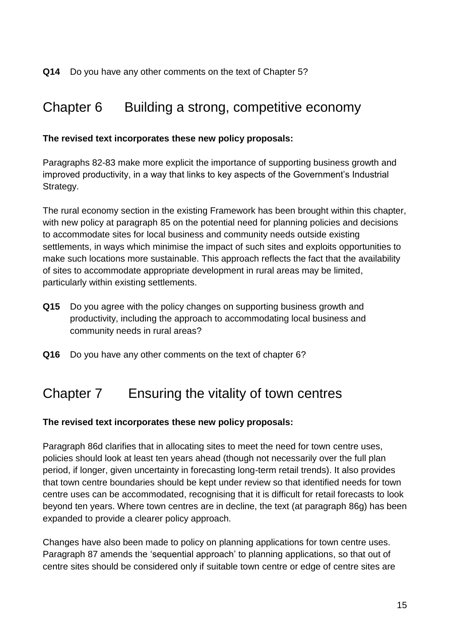# <span id="page-14-0"></span>Chapter 6 Building a strong, competitive economy

### **The revised text incorporates these new policy proposals:**

Paragraphs 82-83 make more explicit the importance of supporting business growth and improved productivity, in a way that links to key aspects of the Government's Industrial Strategy.

The rural economy section in the existing Framework has been brought within this chapter, with new policy at paragraph 85 on the potential need for planning policies and decisions to accommodate sites for local business and community needs outside existing settlements, in ways which minimise the impact of such sites and exploits opportunities to make such locations more sustainable. This approach reflects the fact that the availability of sites to accommodate appropriate development in rural areas may be limited, particularly within existing settlements.

- **Q15** Do you agree with the policy changes on supporting business growth and productivity, including the approach to accommodating local business and community needs in rural areas?
- **Q16** Do you have any other comments on the text of chapter 6?

# <span id="page-14-1"></span>Chapter 7 Ensuring the vitality of town centres

### **The revised text incorporates these new policy proposals:**

Paragraph 86d clarifies that in allocating sites to meet the need for town centre uses, policies should look at least ten years ahead (though not necessarily over the full plan period, if longer, given uncertainty in forecasting long-term retail trends). It also provides that town centre boundaries should be kept under review so that identified needs for town centre uses can be accommodated, recognising that it is difficult for retail forecasts to look beyond ten years. Where town centres are in decline, the text (at paragraph 86g) has been expanded to provide a clearer policy approach.

Changes have also been made to policy on planning applications for town centre uses. Paragraph 87 amends the 'sequential approach' to planning applications, so that out of centre sites should be considered only if suitable town centre or edge of centre sites are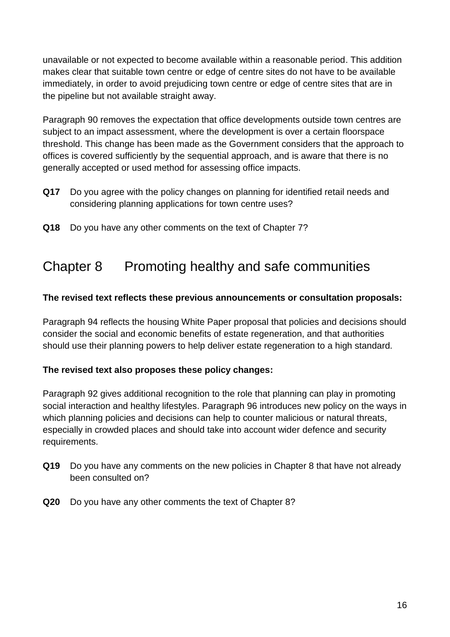unavailable or not expected to become available within a reasonable period. This addition makes clear that suitable town centre or edge of centre sites do not have to be available immediately, in order to avoid prejudicing town centre or edge of centre sites that are in the pipeline but not available straight away.

Paragraph 90 removes the expectation that office developments outside town centres are subject to an impact assessment, where the development is over a certain floorspace threshold. This change has been made as the Government considers that the approach to offices is covered sufficiently by the sequential approach, and is aware that there is no generally accepted or used method for assessing office impacts.

- **Q17** Do you agree with the policy changes on planning for identified retail needs and considering planning applications for town centre uses?
- **Q18** Do you have any other comments on the text of Chapter 7?

## <span id="page-15-0"></span>Chapter 8 Promoting healthy and safe communities

### **The revised text reflects these previous announcements or consultation proposals:**

Paragraph 94 reflects the housing White Paper proposal that policies and decisions should consider the social and economic benefits of estate regeneration, and that authorities should use their planning powers to help deliver estate regeneration to a high standard.

### **The revised text also proposes these policy changes:**

Paragraph 92 gives additional recognition to the role that planning can play in promoting social interaction and healthy lifestyles. Paragraph 96 introduces new policy on the ways in which planning policies and decisions can help to counter malicious or natural threats, especially in crowded places and should take into account wider defence and security requirements.

- **Q19** Do you have any comments on the new policies in Chapter 8 that have not already been consulted on?
- **Q20** Do you have any other comments the text of Chapter 8?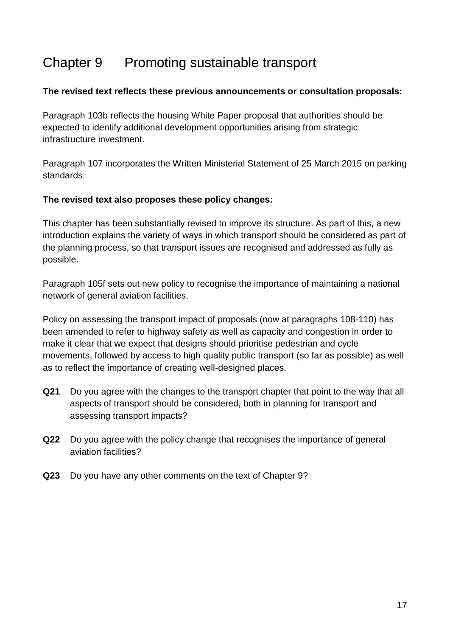# <span id="page-16-0"></span>Chapter 9 Promoting sustainable transport

#### **The revised text reflects these previous announcements or consultation proposals:**

Paragraph 103b reflects the housing White Paper proposal that authorities should be expected to identify additional development opportunities arising from strategic infrastructure investment.

Paragraph 107 incorporates the Written Ministerial Statement of 25 March 2015 on parking standards.

#### **The revised text also proposes these policy changes:**

This chapter has been substantially revised to improve its structure. As part of this, a new introduction explains the variety of ways in which transport should be considered as part of the planning process, so that transport issues are recognised and addressed as fully as possible.

Paragraph 105f sets out new policy to recognise the importance of maintaining a national network of general aviation facilities.

Policy on assessing the transport impact of proposals (now at paragraphs 108-110) has been amended to refer to highway safety as well as capacity and congestion in order to make it clear that we expect that designs should prioritise pedestrian and cycle movements, followed by access to high quality public transport (so far as possible) as well as to reflect the importance of creating well-designed places.

- **Q21** Do you agree with the changes to the transport chapter that point to the way that all aspects of transport should be considered, both in planning for transport and assessing transport impacts?
- **Q22** Do you agree with the policy change that recognises the importance of general aviation facilities?
- **Q23** Do you have any other comments on the text of Chapter 9?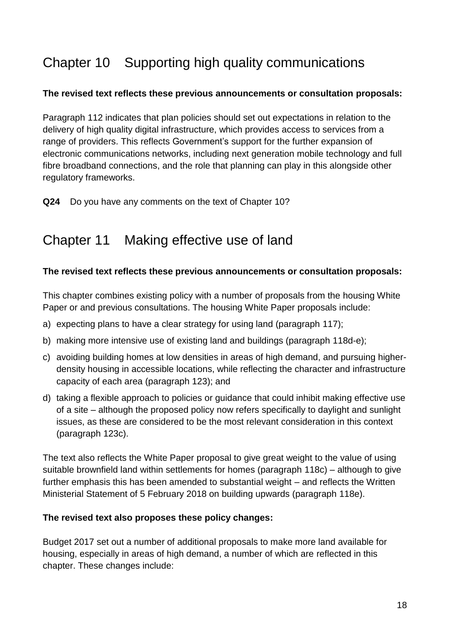# <span id="page-17-0"></span>Chapter 10 Supporting high quality communications

### **The revised text reflects these previous announcements or consultation proposals:**

Paragraph 112 indicates that plan policies should set out expectations in relation to the delivery of high quality digital infrastructure, which provides access to services from a range of providers. This reflects Government's support for the further expansion of electronic communications networks, including next generation mobile technology and full fibre broadband connections, and the role that planning can play in this alongside other regulatory frameworks.

**Q24** Do you have any comments on the text of Chapter 10?

## <span id="page-17-1"></span>Chapter 11 Making effective use of land

### **The revised text reflects these previous announcements or consultation proposals:**

This chapter combines existing policy with a number of proposals from the housing White Paper or and previous consultations. The housing White Paper proposals include:

- a) expecting plans to have a clear strategy for using land (paragraph 117);
- b) making more intensive use of existing land and buildings (paragraph 118d-e);
- c) avoiding building homes at low densities in areas of high demand, and pursuing higherdensity housing in accessible locations, while reflecting the character and infrastructure capacity of each area (paragraph 123); and
- d) taking a flexible approach to policies or guidance that could inhibit making effective use of a site – although the proposed policy now refers specifically to daylight and sunlight issues, as these are considered to be the most relevant consideration in this context (paragraph 123c).

The text also reflects the White Paper proposal to give great weight to the value of using suitable brownfield land within settlements for homes (paragraph 118c) – although to give further emphasis this has been amended to substantial weight – and reflects the Written Ministerial Statement of 5 February 2018 on building upwards (paragraph 118e).

### **The revised text also proposes these policy changes:**

Budget 2017 set out a number of additional proposals to make more land available for housing, especially in areas of high demand, a number of which are reflected in this chapter. These changes include: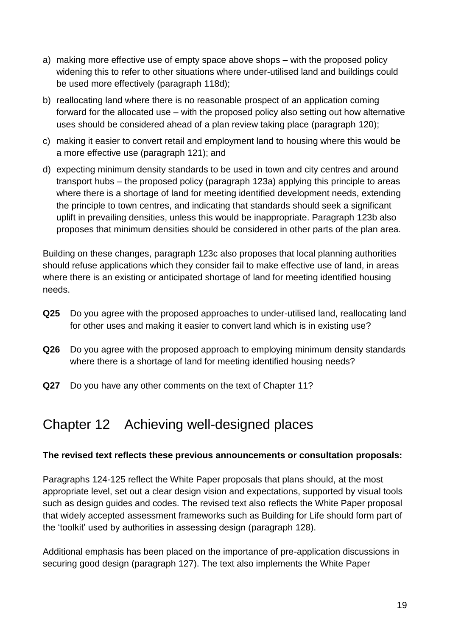- a) making more effective use of empty space above shops with the proposed policy widening this to refer to other situations where under-utilised land and buildings could be used more effectively (paragraph 118d);
- b) reallocating land where there is no reasonable prospect of an application coming forward for the allocated use – with the proposed policy also setting out how alternative uses should be considered ahead of a plan review taking place (paragraph 120);
- c) making it easier to convert retail and employment land to housing where this would be a more effective use (paragraph 121); and
- d) expecting minimum density standards to be used in town and city centres and around transport hubs – the proposed policy (paragraph 123a) applying this principle to areas where there is a shortage of land for meeting identified development needs, extending the principle to town centres, and indicating that standards should seek a significant uplift in prevailing densities, unless this would be inappropriate. Paragraph 123b also proposes that minimum densities should be considered in other parts of the plan area.

Building on these changes, paragraph 123c also proposes that local planning authorities should refuse applications which they consider fail to make effective use of land, in areas where there is an existing or anticipated shortage of land for meeting identified housing needs.

- **Q25** Do you agree with the proposed approaches to under-utilised land, reallocating land for other uses and making it easier to convert land which is in existing use?
- **Q26** Do you agree with the proposed approach to employing minimum density standards where there is a shortage of land for meeting identified housing needs?
- **Q27** Do you have any other comments on the text of Chapter 11?

## <span id="page-18-0"></span>Chapter 12 Achieving well-designed places

### **The revised text reflects these previous announcements or consultation proposals:**

Paragraphs 124-125 reflect the White Paper proposals that plans should, at the most appropriate level, set out a clear design vision and expectations, supported by visual tools such as design guides and codes. The revised text also reflects the White Paper proposal that widely accepted assessment frameworks such as Building for Life should form part of the 'toolkit' used by authorities in assessing design (paragraph 128).

Additional emphasis has been placed on the importance of pre-application discussions in securing good design (paragraph 127). The text also implements the White Paper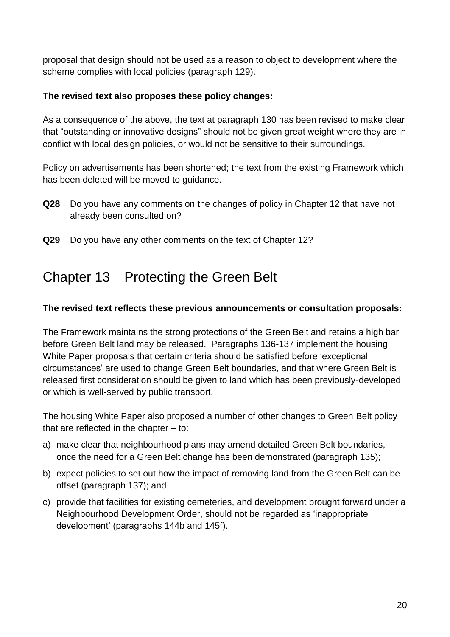proposal that design should not be used as a reason to object to development where the scheme complies with local policies (paragraph 129).

### **The revised text also proposes these policy changes:**

As a consequence of the above, the text at paragraph 130 has been revised to make clear that "outstanding or innovative designs" should not be given great weight where they are in conflict with local design policies, or would not be sensitive to their surroundings.

Policy on advertisements has been shortened; the text from the existing Framework which has been deleted will be moved to guidance.

- **Q28** Do you have any comments on the changes of policy in Chapter 12 that have not already been consulted on?
- **Q29** Do you have any other comments on the text of Chapter 12?

# <span id="page-19-0"></span>Chapter 13 Protecting the Green Belt

### **The revised text reflects these previous announcements or consultation proposals:**

The Framework maintains the strong protections of the Green Belt and retains a high bar before Green Belt land may be released. Paragraphs 136-137 implement the housing White Paper proposals that certain criteria should be satisfied before 'exceptional circumstances' are used to change Green Belt boundaries, and that where Green Belt is released first consideration should be given to land which has been previously-developed or which is well-served by public transport.

The housing White Paper also proposed a number of other changes to Green Belt policy that are reflected in the chapter – to:

- a) make clear that neighbourhood plans may amend detailed Green Belt boundaries, once the need for a Green Belt change has been demonstrated (paragraph 135);
- b) expect policies to set out how the impact of removing land from the Green Belt can be offset (paragraph 137); and
- c) provide that facilities for existing cemeteries, and development brought forward under a Neighbourhood Development Order, should not be regarded as 'inappropriate development' (paragraphs 144b and 145f).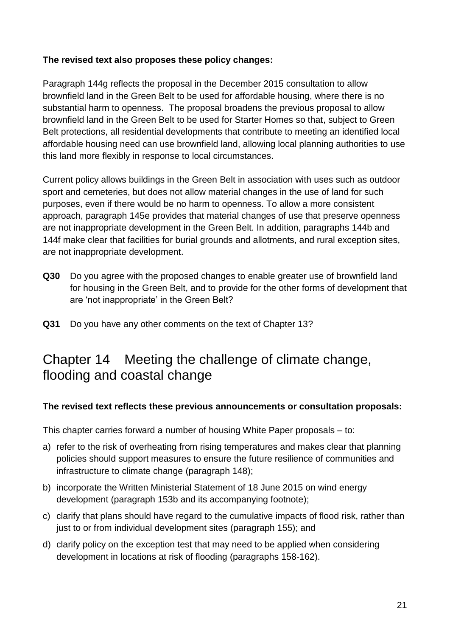### **The revised text also proposes these policy changes:**

Paragraph 144g reflects the proposal in the December 2015 consultation to allow brownfield land in the Green Belt to be used for affordable housing, where there is no substantial harm to openness. The proposal broadens the previous proposal to allow brownfield land in the Green Belt to be used for Starter Homes so that, subject to Green Belt protections, all residential developments that contribute to meeting an identified local affordable housing need can use brownfield land, allowing local planning authorities to use this land more flexibly in response to local circumstances.

Current policy allows buildings in the Green Belt in association with uses such as outdoor sport and cemeteries, but does not allow material changes in the use of land for such purposes, even if there would be no harm to openness. To allow a more consistent approach, paragraph 145e provides that material changes of use that preserve openness are not inappropriate development in the Green Belt. In addition, paragraphs 144b and 144f make clear that facilities for burial grounds and allotments, and rural exception sites, are not inappropriate development.

- **Q30** Do you agree with the proposed changes to enable greater use of brownfield land for housing in the Green Belt, and to provide for the other forms of development that are 'not inappropriate' in the Green Belt?
- **Q31** Do you have any other comments on the text of Chapter 13?

# <span id="page-20-0"></span>Chapter 14 Meeting the challenge of climate change, flooding and coastal change

### **The revised text reflects these previous announcements or consultation proposals:**

This chapter carries forward a number of housing White Paper proposals – to:

- a) refer to the risk of overheating from rising temperatures and makes clear that planning policies should support measures to ensure the future resilience of communities and infrastructure to climate change (paragraph 148);
- b) incorporate the Written Ministerial Statement of 18 June 2015 on wind energy development (paragraph 153b and its accompanying footnote);
- c) clarify that plans should have regard to the cumulative impacts of flood risk, rather than just to or from individual development sites (paragraph 155); and
- d) clarify policy on the exception test that may need to be applied when considering development in locations at risk of flooding (paragraphs 158-162).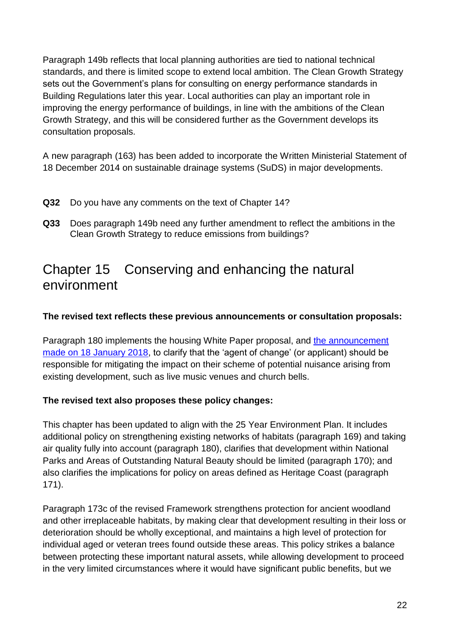Paragraph 149b reflects that local planning authorities are tied to national technical standards, and there is limited scope to extend local ambition. The Clean Growth Strategy sets out the Government's plans for consulting on energy performance standards in Building Regulations later this year. Local authorities can play an important role in improving the energy performance of buildings, in line with the ambitions of the Clean Growth Strategy, and this will be considered further as the Government develops its consultation proposals.

A new paragraph (163) has been added to incorporate the Written Ministerial Statement of 18 December 2014 on sustainable drainage systems (SuDS) in major developments.

- **Q32** Do you have any comments on the text of Chapter 14?
- **Q33** Does paragraph 149b need any further amendment to reflect the ambitions in the Clean Growth Strategy to reduce emissions from buildings?

## <span id="page-21-0"></span>Chapter 15 Conserving and enhancing the natural environment

### **The revised text reflects these previous announcements or consultation proposals:**

Paragraph 180 implements the housing White Paper proposal, and [the announcement](https://www.gov.uk/government/news/strengthened-planning-rules-to-protect-music-venues-and-their-neighbours)  [made on 18 January 2018,](https://www.gov.uk/government/news/strengthened-planning-rules-to-protect-music-venues-and-their-neighbours) to clarify that the 'agent of change' (or applicant) should be responsible for mitigating the impact on their scheme of potential nuisance arising from existing development, such as live music venues and church bells.

### **The revised text also proposes these policy changes:**

This chapter has been updated to align with the 25 Year Environment Plan. It includes additional policy on strengthening existing networks of habitats (paragraph 169) and taking air quality fully into account (paragraph 180), clarifies that development within National Parks and Areas of Outstanding Natural Beauty should be limited (paragraph 170); and also clarifies the implications for policy on areas defined as Heritage Coast (paragraph 171).

Paragraph 173c of the revised Framework strengthens protection for ancient woodland and other irreplaceable habitats, by making clear that development resulting in their loss or deterioration should be wholly exceptional, and maintains a high level of protection for individual aged or veteran trees found outside these areas. This policy strikes a balance between protecting these important natural assets, while allowing development to proceed in the very limited circumstances where it would have significant public benefits, but we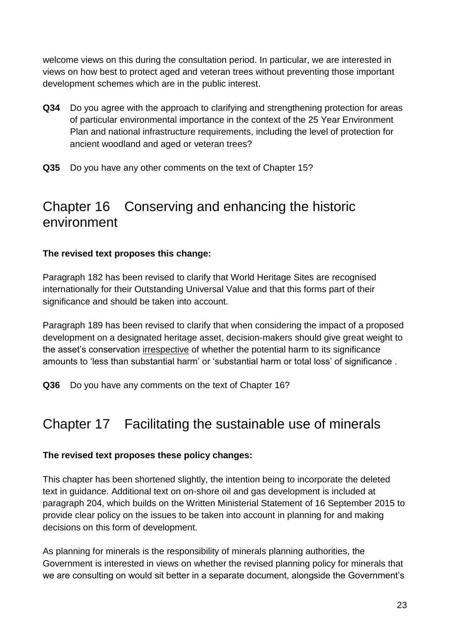welcome views on this during the consultation period. In particular, we are interested in views on how best to protect aged and veteran trees without preventing those important development schemes which are in the public interest.

- **Q34** Do you agree with the approach to clarifying and strengthening protection for areas of particular environmental importance in the context of the 25 Year Environment Plan and national infrastructure requirements, including the level of protection for ancient woodland and aged or veteran trees?
- **Q35** Do you have any other comments on the text of Chapter 15?

## <span id="page-22-0"></span>Chapter 16 Conserving and enhancing the historic environment

### **The revised text proposes this change:**

Paragraph 182 has been revised to clarify that World Heritage Sites are recognised internationally for their Outstanding Universal Value and that this forms part of their significance and should be taken into account.

Paragraph 189 has been revised to clarify that when considering the impact of a proposed development on a designated heritage asset, decision-makers should give great weight to the asset's conservation irrespective of whether the potential harm to its significance amounts to 'less than substantial harm' or 'substantial harm or total loss' of significance .

**Q36** Do you have any comments on the text of Chapter 16?

## <span id="page-22-1"></span>Chapter 17 Facilitating the sustainable use of minerals

### **The revised text proposes these policy changes:**

This chapter has been shortened slightly, the intention being to incorporate the deleted text in guidance. Additional text on on-shore oil and gas development is included at paragraph 204, which builds on the Written Ministerial Statement of 16 September 2015 to provide clear policy on the issues to be taken into account in planning for and making decisions on this form of development.

As planning for minerals is the responsibility of minerals planning authorities, the Government is interested in views on whether the revised planning policy for minerals that we are consulting on would sit better in a separate document, alongside the Government's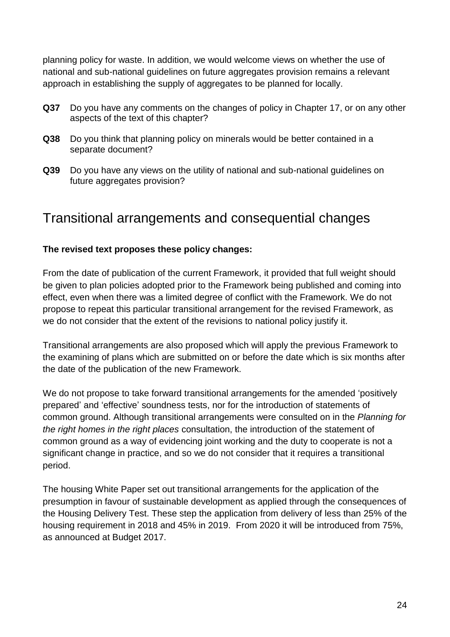planning policy for waste. In addition, we would welcome views on whether the use of national and sub-national guidelines on future aggregates provision remains a relevant approach in establishing the supply of aggregates to be planned for locally.

- **Q37** Do you have any comments on the changes of policy in Chapter 17, or on any other aspects of the text of this chapter?
- **Q38** Do you think that planning policy on minerals would be better contained in a separate document?
- **Q39** Do you have any views on the utility of national and sub-national guidelines on future aggregates provision?

### <span id="page-23-0"></span>Transitional arrangements and consequential changes

### **The revised text proposes these policy changes:**

From the date of publication of the current Framework, it provided that full weight should be given to plan policies adopted prior to the Framework being published and coming into effect, even when there was a limited degree of conflict with the Framework. We do not propose to repeat this particular transitional arrangement for the revised Framework, as we do not consider that the extent of the revisions to national policy justify it.

Transitional arrangements are also proposed which will apply the previous Framework to the examining of plans which are submitted on or before the date which is six months after the date of the publication of the new Framework.

We do not propose to take forward transitional arrangements for the amended 'positively prepared' and 'effective' soundness tests, nor for the introduction of statements of common ground. Although transitional arrangements were consulted on in the *Planning for the right homes in the right places* consultation, the introduction of the statement of common ground as a way of evidencing joint working and the duty to cooperate is not a significant change in practice, and so we do not consider that it requires a transitional period.

The housing White Paper set out transitional arrangements for the application of the presumption in favour of sustainable development as applied through the consequences of the Housing Delivery Test. These step the application from delivery of less than 25% of the housing requirement in 2018 and 45% in 2019. From 2020 it will be introduced from 75%, as announced at Budget 2017.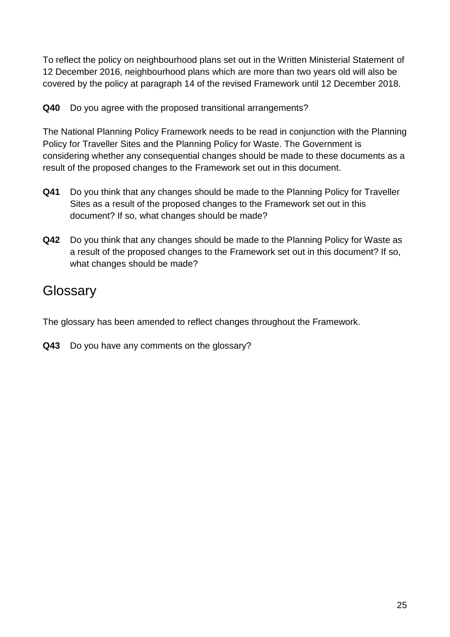To reflect the policy on neighbourhood plans set out in the Written Ministerial Statement of 12 December 2016, neighbourhood plans which are more than two years old will also be covered by the policy at paragraph 14 of the revised Framework until 12 December 2018.

**Q40** Do you agree with the proposed transitional arrangements?

The National Planning Policy Framework needs to be read in conjunction with the Planning Policy for Traveller Sites and the Planning Policy for Waste. The Government is considering whether any consequential changes should be made to these documents as a result of the proposed changes to the Framework set out in this document.

- **Q41** Do you think that any changes should be made to the Planning Policy for Traveller Sites as a result of the proposed changes to the Framework set out in this document? If so, what changes should be made?
- **Q42** Do you think that any changes should be made to the Planning Policy for Waste as a result of the proposed changes to the Framework set out in this document? If so, what changes should be made?

# <span id="page-24-0"></span>**Glossary**

The glossary has been amended to reflect changes throughout the Framework.

**Q43** Do you have any comments on the glossary?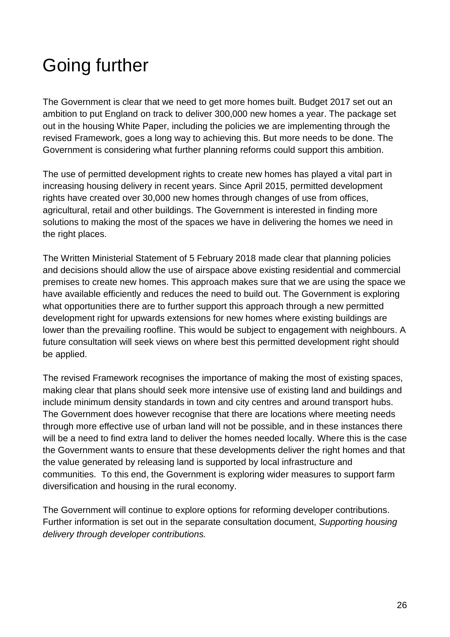# <span id="page-25-0"></span>Going further

The Government is clear that we need to get more homes built. Budget 2017 set out an ambition to put England on track to deliver 300,000 new homes a year. The package set out in the housing White Paper, including the policies we are implementing through the revised Framework, goes a long way to achieving this. But more needs to be done. The Government is considering what further planning reforms could support this ambition.

The use of permitted development rights to create new homes has played a vital part in increasing housing delivery in recent years. Since April 2015, permitted development rights have created over 30,000 new homes through changes of use from offices, agricultural, retail and other buildings. The Government is interested in finding more solutions to making the most of the spaces we have in delivering the homes we need in the right places.

The Written Ministerial Statement of 5 February 2018 made clear that planning policies and decisions should allow the use of airspace above existing residential and commercial premises to create new homes. This approach makes sure that we are using the space we have available efficiently and reduces the need to build out. The Government is exploring what opportunities there are to further support this approach through a new permitted development right for upwards extensions for new homes where existing buildings are lower than the prevailing roofline. This would be subject to engagement with neighbours. A future consultation will seek views on where best this permitted development right should be applied.

The revised Framework recognises the importance of making the most of existing spaces, making clear that plans should seek more intensive use of existing land and buildings and include minimum density standards in town and city centres and around transport hubs. The Government does however recognise that there are locations where meeting needs through more effective use of urban land will not be possible, and in these instances there will be a need to find extra land to deliver the homes needed locally. Where this is the case the Government wants to ensure that these developments deliver the right homes and that the value generated by releasing land is supported by local infrastructure and communities. To this end, the Government is exploring wider measures to support farm diversification and housing in the rural economy.

The Government will continue to explore options for reforming developer contributions. Further information is set out in the separate consultation document, *Supporting housing delivery through developer contributions.*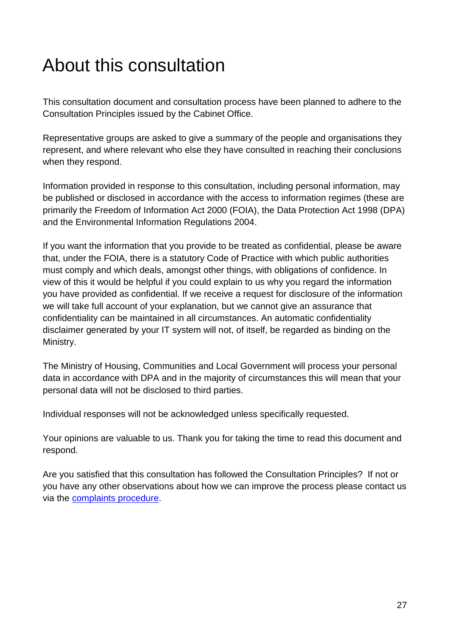# <span id="page-26-0"></span>About this consultation

This consultation document and consultation process have been planned to adhere to the Consultation Principles issued by the Cabinet Office.

Representative groups are asked to give a summary of the people and organisations they represent, and where relevant who else they have consulted in reaching their conclusions when they respond.

Information provided in response to this consultation, including personal information, may be published or disclosed in accordance with the access to information regimes (these are primarily the Freedom of Information Act 2000 (FOIA), the Data Protection Act 1998 (DPA) and the Environmental Information Regulations 2004.

If you want the information that you provide to be treated as confidential, please be aware that, under the FOIA, there is a statutory Code of Practice with which public authorities must comply and which deals, amongst other things, with obligations of confidence. In view of this it would be helpful if you could explain to us why you regard the information you have provided as confidential. If we receive a request for disclosure of the information we will take full account of your explanation, but we cannot give an assurance that confidentiality can be maintained in all circumstances. An automatic confidentiality disclaimer generated by your IT system will not, of itself, be regarded as binding on the Ministry.

The Ministry of Housing, Communities and Local Government will process your personal data in accordance with DPA and in the majority of circumstances this will mean that your personal data will not be disclosed to third parties.

Individual responses will not be acknowledged unless specifically requested.

Your opinions are valuable to us. Thank you for taking the time to read this document and respond.

Are you satisfied that this consultation has followed the Consultation Principles? If not or you have any other observations about how we can improve the process please contact us via the [complaints procedure.](https://www.gov.uk/government/organisations/department-for-communities-and-local-government/about/complaints-procedure)